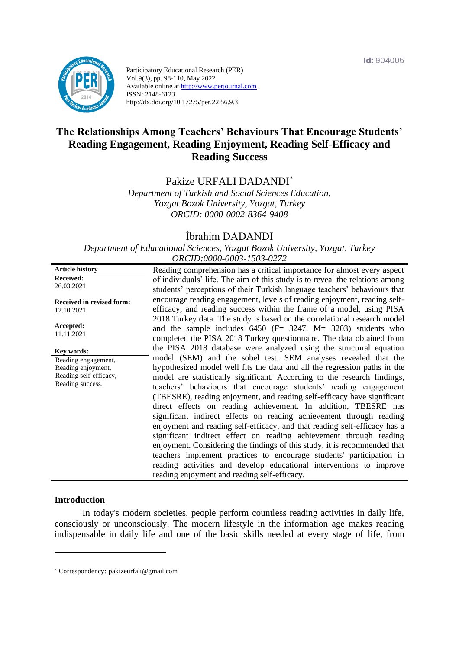**Id:** 904005



Participatory Educational Research (PER) Vol.9(3), pp. 98-110, May 2022 Available online at http://www.perjournal.com ISSN: 2148-6123 http://dx.doi.org/10.17275/per.22.56.9.3

# **The Relationships Among Teachers' Behaviours That Encourage Students' Reading Engagement, Reading Enjoyment, Reading Self-Efficacy and Reading Success**

# Pakize URFALI DADANDI\*

*Department of Turkish and Social Sciences Education, Yozgat Bozok University, Yozgat, Turkey ORCID: 0000-0002-8364-9408*

# İbrahim DADANDI

*Department of Educational Sciences, Yozgat Bozok University, Yozgat, Turkey ORCID:0000-0003-1503-0272*

| <b>Article history</b>           | Reading comprehension has a critical importance for almost every aspect      |
|----------------------------------|------------------------------------------------------------------------------|
| <b>Received:</b>                 | of individuals' life. The aim of this study is to reveal the relations among |
| 26.03.2021                       | students' perceptions of their Turkish language teachers' behaviours that    |
|                                  | encourage reading engagement, levels of reading enjoyment, reading self-     |
| <b>Received in revised form:</b> |                                                                              |
| 12.10.2021                       | efficacy, and reading success within the frame of a model, using PISA        |
|                                  | 2018 Turkey data. The study is based on the correlational research model     |
| Accepted:                        | and the sample includes $6450$ (F= 3247, M= 3203) students who               |
| 11.11.2021                       | completed the PISA 2018 Turkey questionnaire. The data obtained from         |
|                                  | the PISA 2018 database were analyzed using the structural equation           |
| Key words:                       | model (SEM) and the sobel test. SEM analyses revealed that the               |
| Reading engagement,              |                                                                              |
| Reading enjoyment,               | hypothesized model well fits the data and all the regression paths in the    |
| Reading self-efficacy,           | model are statistically significant. According to the research findings,     |
| Reading success.                 | teachers' behaviours that encourage students' reading engagement             |
|                                  | (TBESRE), reading enjoyment, and reading self-efficacy have significant      |
|                                  | direct effects on reading achievement. In addition, TBESRE has               |
|                                  | significant indirect effects on reading achievement through reading          |
|                                  | enjoyment and reading self-efficacy, and that reading self-efficacy has a    |
|                                  |                                                                              |
|                                  | significant indirect effect on reading achievement through reading           |
|                                  | enjoyment. Considering the findings of this study, it is recommended that    |
|                                  | teachers implement practices to encourage students' participation in         |
|                                  | reading activities and develop educational interventions to improve          |
|                                  | reading enjoyment and reading self-efficacy.                                 |
|                                  |                                                                              |

## **Introduction**

In today's modern societies, people perform countless reading activities in daily life, consciously or unconsciously. The modern lifestyle in the information age makes reading indispensable in daily life and one of the basic skills needed at every stage of life, from

<sup>\*</sup> [Correspondency:](mailto:Correspondency:) pakizeurfali@gmail.com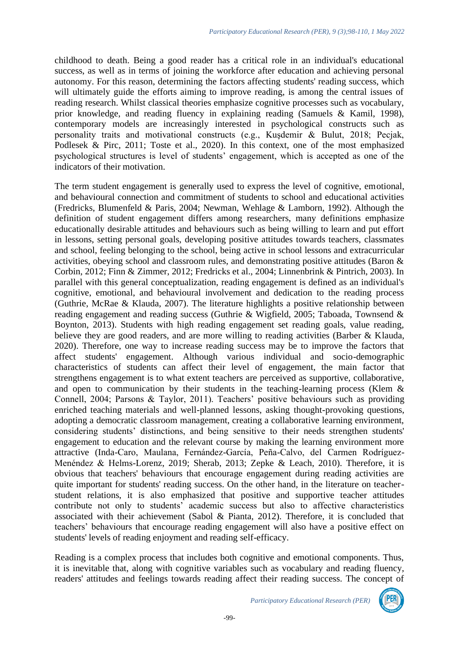childhood to death. Being a good reader has a critical role in an individual's educational success, as well as in terms of joining the workforce after education and achieving personal autonomy. For this reason, determining the factors affecting students' reading success, which will ultimately guide the efforts aiming to improve reading, is among the central issues of reading research. Whilst classical theories emphasize cognitive processes such as vocabulary, prior knowledge, and reading fluency in explaining reading (Samuels & Kamil, 1998), contemporary models are increasingly interested in psychological constructs such as personality traits and motivational constructs (e.g., Kuşdemir & Bulut, 2018; Pecjak, Podlesek & Pirc, 2011; Toste et al., 2020). In this context, one of the most emphasized psychological structures is level of students' engagement, which is accepted as one of the indicators of their motivation.

The term student engagement is generally used to express the level of cognitive, emotional, and behavioural connection and commitment of students to school and educational activities (Fredricks, Blumenfeld & Paris, 2004; Newman, Wehlage & Lamborn, 1992). Although the definition of student engagement differs among researchers, many definitions emphasize educationally desirable attitudes and behaviours such as being willing to learn and put effort in lessons, setting personal goals, developing positive attitudes towards teachers, classmates and school, feeling belonging to the school, being active in school lessons and extracurricular activities, obeying school and classroom rules, and demonstrating positive attitudes (Baron & Corbin, 2012; Finn & Zimmer, 2012; Fredricks et al., 2004; Linnenbrink & Pintrich, 2003). In parallel with this general conceptualization, reading engagement is defined as an individual's cognitive, emotional, and behavioural involvement and dedication to the reading process (Guthrie, McRae & Klauda, 2007). The literature highlights a positive relationship between reading engagement and reading success (Guthrie & Wigfield, 2005; Taboada, Townsend & Boynton, 2013). Students with high reading engagement set reading goals, value reading, believe they are good readers, and are more willing to reading activities (Barber & Klauda, 2020). Therefore, one way to increase reading success may be to improve the factors that affect students' engagement. Although various individual and socio-demographic characteristics of students can affect their level of engagement, the main factor that strengthens engagement is to what extent teachers are perceived as supportive, collaborative, and open to communication by their students in the teaching-learning process (Klem & Connell, 2004; Parsons & Taylor, 2011). Teachers' positive behaviours such as providing enriched teaching materials and well-planned lessons, asking thought-provoking questions, adopting a democratic classroom management, creating a collaborative learning environment, considering students' distinctions, and being sensitive to their needs strengthen students' engagement to education and the relevant course by making the learning environment more attractive (Inda-Caro, Maulana, Fernández-García, Peña-Calvo, del Carmen Rodríguez-Menéndez & Helms-Lorenz, 2019; Sherab, 2013; Zepke & Leach, 2010). Therefore, it is obvious that teachers' behaviours that encourage engagement during reading activities are quite important for students' reading success. On the other hand, in the literature on teacherstudent relations, it is also emphasized that positive and supportive teacher attitudes contribute not only to students' academic success but also to affective characteristics associated with their achievement (Sabol & Pianta, 2012). Therefore, it is concluded that teachers' behaviours that encourage reading engagement will also have a positive effect on students' levels of reading enjoyment and reading self-efficacy.

Reading is a complex process that includes both cognitive and emotional components. Thus, it is inevitable that, along with cognitive variables such as vocabulary and reading fluency, readers' attitudes and feelings towards reading affect their reading success. The concept of

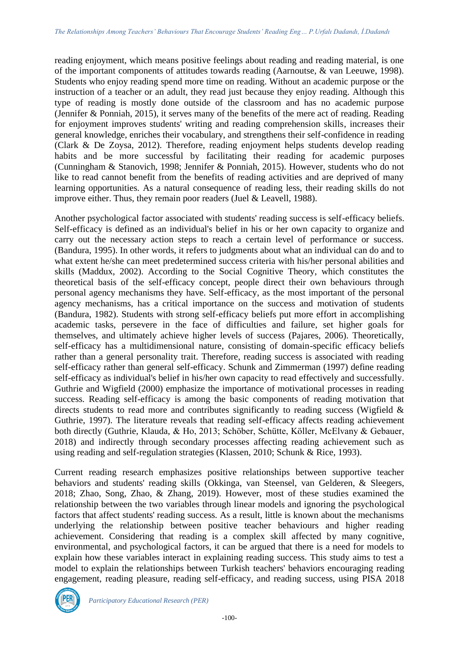reading enjoyment, which means positive feelings about reading and reading material, is one of the important components of attitudes towards reading (Aarnoutse, & van Leeuwe, 1998). Students who enjoy reading spend more time on reading. Without an academic purpose or the instruction of a teacher or an adult, they read just because they enjoy reading. Although this type of reading is mostly done outside of the classroom and has no academic purpose (Jennifer & Ponniah, 2015), it serves many of the benefits of the mere act of reading. Reading for enjoyment improves students' writing and reading comprehension skills, increases their general knowledge, enriches their vocabulary, and strengthens their self-confidence in reading (Clark & De Zoysa, 2012). Therefore, reading enjoyment helps students develop reading habits and be more successful by facilitating their reading for academic purposes (Cunningham & Stanovich, 1998; Jennifer & Ponniah, 2015). However, students who do not like to read cannot benefit from the benefits of reading activities and are deprived of many learning opportunities. As a natural consequence of reading less, their reading skills do not improve either. Thus, they remain poor readers (Juel & Leavell, 1988).

Another psychological factor associated with students' reading success is self-efficacy beliefs. Self-efficacy is defined as an individual's belief in his or her own capacity to organize and carry out the necessary action steps to reach a certain level of performance or success. (Bandura, 1995). In other words, it refers to judgments about what an individual can do and to what extent he/she can meet predetermined success criteria with his/her personal abilities and skills (Maddux, 2002). According to the Social Cognitive Theory, which constitutes the theoretical basis of the self-efficacy concept, people direct their own behaviours through personal agency mechanisms they have. Self-efficacy, as the most important of the personal agency mechanisms, has a critical importance on the success and motivation of students (Bandura, 1982). Students with strong self-efficacy beliefs put more effort in accomplishing academic tasks, persevere in the face of difficulties and failure, set higher goals for themselves, and ultimately achieve higher levels of success (Pajares, 2006). Theoretically, self-efficacy has a multidimensional nature, consisting of domain-specific efficacy beliefs rather than a general personality trait. Therefore, reading success is associated with reading self-efficacy rather than general self-efficacy. Schunk and Zimmerman (1997) define reading self-efficacy as individual's belief in his/her own capacity to read effectively and successfully. Guthrie and Wigfield (2000) emphasize the importance of motivational processes in reading success. Reading self-efficacy is among the basic components of reading motivation that directs students to read more and contributes significantly to reading success (Wigfield & Guthrie, 1997). The literature reveals that reading self-efficacy affects reading achievement both directly (Guthrie, Klauda, & Ho, 2013; Schöber, Schütte, Köller, McElvany & Gebauer, 2018) and indirectly through secondary processes affecting reading achievement such as using reading and self-regulation strategies (Klassen, 2010; Schunk & Rice, 1993).

Current reading research emphasizes positive relationships between supportive teacher behaviors and students' reading skills (Okkinga, van Steensel, van Gelderen, & Sleegers, 2018; Zhao, Song, Zhao, & Zhang, 2019). However, most of these studies examined the relationship between the two variables through linear models and ignoring the psychological factors that affect students' reading success. As a result, little is known about the mechanisms underlying the relationship between positive teacher behaviours and higher reading achievement. Considering that reading is a complex skill affected by many cognitive, environmental, and psychological factors, it can be argued that there is a need for models to explain how these variables interact in explaining reading success. This study aims to test a model to explain the relationships between Turkish teachers' behaviors encouraging reading engagement, reading pleasure, reading self-efficacy, and reading success, using PISA 2018

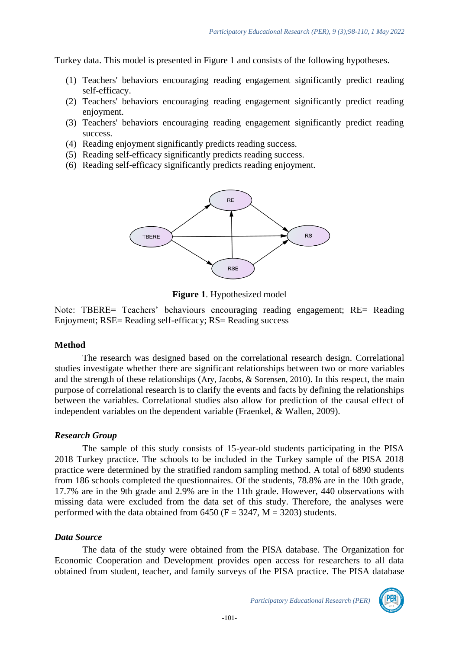Turkey data. This model is presented in Figure 1 and consists of the following hypotheses.

- (1) Teachers' behaviors encouraging reading engagement significantly predict reading self-efficacy.
- (2) Teachers' behaviors encouraging reading engagement significantly predict reading enjoyment.
- (3) Teachers' behaviors encouraging reading engagement significantly predict reading success.
- (4) Reading enjoyment significantly predicts reading success.
- (5) Reading self-efficacy significantly predicts reading success.
- (6) Reading self-efficacy significantly predicts reading enjoyment.



**Figure 1**. Hypothesized model

Note: TBERE= Teachers' behaviours encouraging reading engagement; RE= Reading Enjoyment; RSE= Reading self-efficacy; RS= Reading success

## **Method**

The research was designed based on the correlational research design. Correlational studies investigate whether there are significant relationships between two or more variables and the strength of these relationships (Ary, Jacobs, & Sorensen, 2010). In this respect, the main purpose of correlational research is to clarify the events and facts by defining the relationships between the variables. Correlational studies also allow for prediction of the causal effect of independent variables on the dependent variable (Fraenkel, & Wallen, 2009).

## *Research Group*

The sample of this study consists of 15-year-old students participating in the PISA 2018 Turkey practice. The schools to be included in the Turkey sample of the PISA 2018 practice were determined by the stratified random sampling method. A total of 6890 students from 186 schools completed the questionnaires. Of the students, 78.8% are in the 10th grade, 17.7% are in the 9th grade and 2.9% are in the 11th grade. However, 440 observations with missing data were excluded from the data set of this study. Therefore, the analyses were performed with the data obtained from 6450 ( $F = 3247$ ,  $M = 3203$ ) students.

## *Data Source*

The data of the study were obtained from the PISA database. The Organization for Economic Cooperation and Development provides open access for researchers to all data obtained from student, teacher, and family surveys of the PISA practice. The PISA database

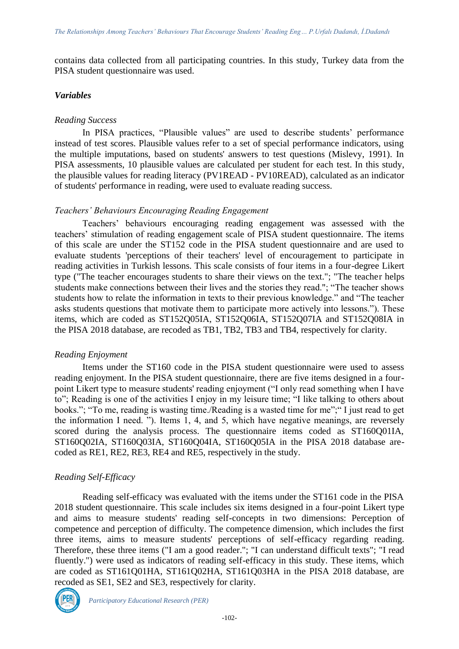contains data collected from all participating countries. In this study, Turkey data from the PISA student questionnaire was used.

## *Variables*

## *Reading Success*

In PISA practices, "Plausible values" are used to describe students' performance instead of test scores. Plausible values refer to a set of special performance indicators, using the multiple imputations, based on students' answers to test questions (Mislevy, 1991). In PISA assessments, 10 plausible values are calculated per student for each test. In this study, the plausible values for reading literacy (PV1READ - PV10READ), calculated as an indicator of students' performance in reading, were used to evaluate reading success.

## *Teachers' Behaviours Encouraging Reading Engagement*

Teachers' behaviours encouraging reading engagement was assessed with the teachers' stimulation of reading engagement scale of PISA student questionnaire. The items of this scale are under the ST152 code in the PISA student questionnaire and are used to evaluate students 'perceptions of their teachers' level of encouragement to participate in reading activities in Turkish lessons. This scale consists of four items in a four-degree Likert type ("The teacher encourages students to share their views on the text."; "The teacher helps students make connections between their lives and the stories they read."; "The teacher shows students how to relate the information in texts to their previous knowledge." and "The teacher asks students questions that motivate them to participate more actively into lessons."). These items, which are coded as ST152Q05IA, ST152Q06IA, ST152Q07IA and ST152Q08IA in the PISA 2018 database, are recoded as TB1, TB2, TB3 and TB4, respectively for clarity.

# *Reading Enjoyment*

Items under the ST160 code in the PISA student questionnaire were used to assess reading enjoyment. In the PISA student questionnaire, there are five items designed in a fourpoint Likert type to measure students' reading enjoyment ("I only read something when I have to"; Reading is one of the activities I enjoy in my leisure time; "I like talking to others about books."; "To me, reading is wasting time./Reading is a wasted time for me";" I just read to get the information I need. "). Items 1, 4, and 5, which have negative meanings, are reversely scored during the analysis process. The questionnaire items coded as ST160Q01IA, ST160Q02IA, ST160Q03IA, ST160Q04IA, ST160Q05IA in the PISA 2018 database arecoded as RE1, RE2, RE3, RE4 and RE5, respectively in the study.

# *Reading Self-Efficacy*

Reading self-efficacy was evaluated with the items under the ST161 code in the PISA 2018 student questionnaire. This scale includes six items designed in a four-point Likert type and aims to measure students' reading self-concepts in two dimensions: Perception of competence and perception of difficulty. The competence dimension, which includes the first three items, aims to measure students' perceptions of self-efficacy regarding reading. Therefore, these three items ("I am a good reader."; "I can understand difficult texts"; "I read fluently.") were used as indicators of reading self-efficacy in this study. These items, which are coded as ST161Q01HA, ST161Q02HA, ST161Q03HA in the PISA 2018 database, are recoded as SE1, SE2 and SE3, respectively for clarity.



*Participatory Educational Research (PER)*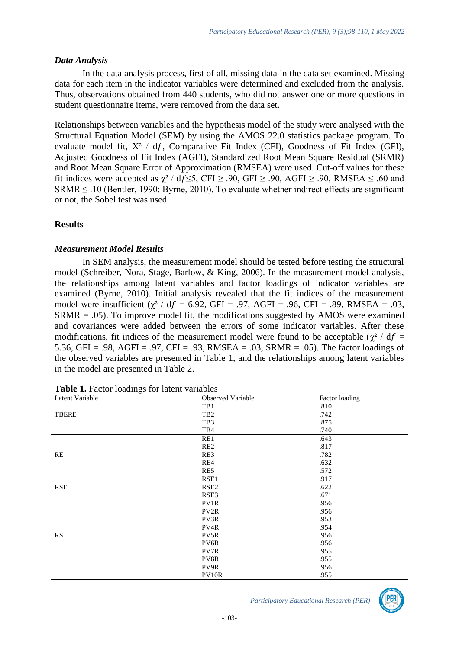#### *Data Analysis*

In the data analysis process, first of all, missing data in the data set examined. Missing data for each item in the indicator variables were determined and excluded from the analysis. Thus, observations obtained from 440 students, who did not answer one or more questions in student questionnaire items, were removed from the data set.

Relationships between variables and the hypothesis model of the study were analysed with the Structural Equation Model (SEM) by using the AMOS 22.0 statistics package program. To evaluate model fit,  $X^2$  / df, Comparative Fit Index (CFI), Goodness of Fit Index (GFI), Adjusted Goodness of Fit Index (AGFI), Standardized Root Mean Square Residual (SRMR) and Root Mean Square Error of Approximation (RMSEA) were used. Cut-off values for these fit indices were accepted as  $\gamma^2$  / df ≤5, CFI ≥ .90, GFI ≥ .90, AGFI ≥ .90, RMSEA  $\leq$  .60 and  $SRMR \leq .10$  (Bentler, 1990; Byrne, 2010). To evaluate whether indirect effects are significant or not, the Sobel test was used.

## **Results**

## *Measurement Model Results*

In SEM analysis, the measurement model should be tested before testing the structural model (Schreiber, Nora, Stage, Barlow, & King, 2006). In the measurement model analysis, the relationships among latent variables and factor loadings of indicator variables are examined (Byrne, 2010). Initial analysis revealed that the fit indices of the measurement model were insufficient ( $\chi^2$  / df = 6.92, GFI = .97, AGFI = .96, CFI = .89, RMSEA = .03, SRMR = .05). To improve model fit, the modifications suggested by AMOS were examined and covariances were added between the errors of some indicator variables. After these modifications, fit indices of the measurement model were found to be acceptable ( $\gamma^2$  / df = 5.36, GFI = .98, AGFI = .97, CFI = .93, RMSEA = .03, SRMR = .05). The factor loadings of the observed variables are presented in Table 1, and the relationships among latent variables in the model are presented in Table 2.

| Latent Variable | Observed Variable | Factor loading |
|-----------------|-------------------|----------------|
|                 | TB1               | .810           |
| <b>TBERE</b>    | TB <sub>2</sub>   | .742           |
|                 | TB3               | .875           |
|                 | TB4               | .740           |
|                 | RE1               | .643           |
|                 | RE <sub>2</sub>   | .817           |
| RE              | RE3               | .782           |
|                 | RE4               | .632           |
|                 | RE5               | .572           |
|                 | RSE1              | .917           |
| <b>RSE</b>      | RSE <sub>2</sub>  | .622           |
|                 | RSE3              | .671           |
|                 | PV1R              | .956           |
|                 | PV <sub>2R</sub>  | .956           |
|                 | PV3R              | .953           |
|                 | PV4R              | .954           |
| <b>RS</b>       | PV5R              | .956           |
|                 | PV6R              | .956           |
|                 | PV7R              | .955           |
|                 | PV8R              | .955           |
|                 | PV9R              | .956           |
|                 | PV10R             | .955           |

**Table 1.** Factor loadings for latent variables

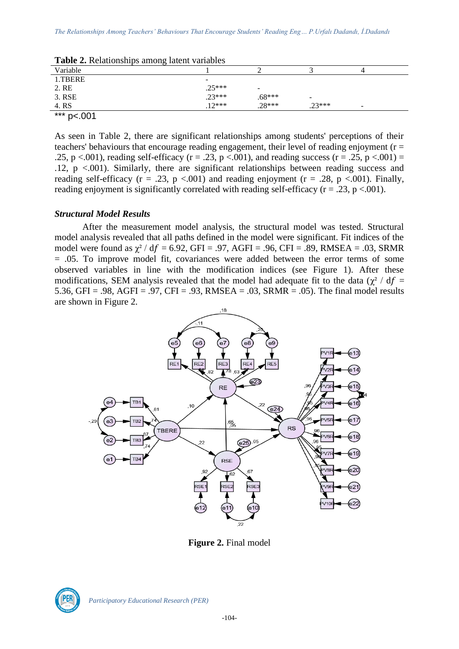| <b>Twore Explorationally</b> annoing ratent variables |                              |                          |          |   |  |  |
|-------------------------------------------------------|------------------------------|--------------------------|----------|---|--|--|
| Variable                                              |                              |                          |          |   |  |  |
| 1.TBERE                                               | $\qquad \qquad \blacksquare$ |                          |          |   |  |  |
| 2. RE                                                 | $.25***$                     | $\overline{\phantom{0}}$ |          |   |  |  |
| 3. RSE                                                | $.23***$                     | $.68***$                 | -        |   |  |  |
| 4. RS                                                 | $12***$                      | $.28***$                 | $.23***$ | - |  |  |
| $***n$<br>$-.001$                                     |                              |                          |          |   |  |  |

**Table 2.** Relationships among latent variables

As seen in Table 2, there are significant relationships among students' perceptions of their teachers' behaviours that encourage reading engagement, their level of reading enjoyment ( $r =$ .25, p <.001), reading self-efficacy (r = .23, p <.001), and reading success (r = .25, p <.001) = .12, p <.001). Similarly, there are significant relationships between reading success and reading self-efficacy ( $r = .23$ ,  $p < .001$ ) and reading enjoyment ( $r = .28$ ,  $p < .001$ ). Finally, reading enjoyment is significantly correlated with reading self-efficacy ( $r = .23$ ,  $p < .001$ ).

## *Structural Model Results*

After the measurement model analysis, the structural model was tested. Structural model analysis revealed that all paths defined in the model were significant. Fit indices of the model were found as  $\chi^2$  / df = 6.92, GFI = .97, AGFI = .96, CFI = .89, RMSEA = .03, SRMR = .05. To improve model fit, covariances were added between the error terms of some observed variables in line with the modification indices (see Figure 1). After these modifications, SEM analysis revealed that the model had adequate fit to the data ( $\chi^2$  / df = 5.36, GFI = .98, AGFI = .97, CFI = .93, RMSEA = .03, SRMR = .05). The final model results are shown in Figure 2.



**Figure 2.** Final model

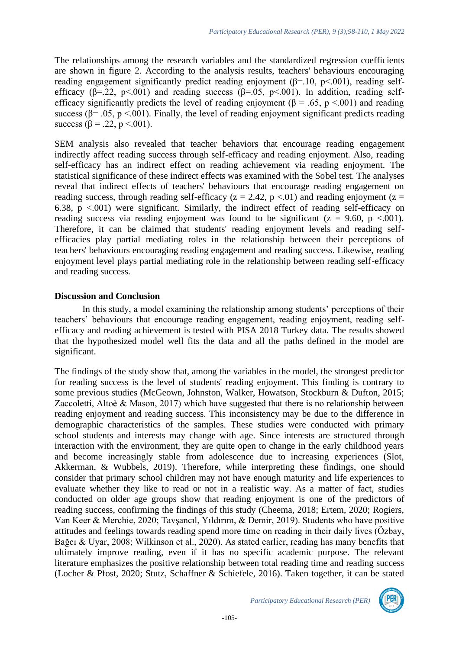The relationships among the research variables and the standardized regression coefficients are shown in figure 2. According to the analysis results, teachers' behaviours encouraging reading engagement significantly predict reading enjoyment (β=.10, p<.001), reading selfefficacy ( $\beta$ =.22, p<.001) and reading success ( $\beta$ =.05, p<.001). In addition, reading selfefficacy significantly predicts the level of reading enjoyment ( $\beta$  = .65, p <.001) and reading success ( $\beta$ = .05, p <.001). Finally, the level of reading enjoyment significant predicts reading success ( $\beta = .22$ ,  $p < .001$ ).

SEM analysis also revealed that teacher behaviors that encourage reading engagement indirectly affect reading success through self-efficacy and reading enjoyment. Also, reading self-efficacy has an indirect effect on reading achievement via reading enjoyment. The statistical significance of these indirect effects was examined with the Sobel test. The analyses reveal that indirect effects of teachers' behaviours that encourage reading engagement on reading success, through reading self-efficacy ( $z = 2.42$ ,  $p < 01$ ) and reading enjoyment ( $z =$ 6.38,  $p < 0.001$ ) were significant. Similarly, the indirect effect of reading self-efficacy on reading success via reading enjoyment was found to be significant ( $z = 9.60$ ,  $p \lt 0.001$ ). Therefore, it can be claimed that students' reading enjoyment levels and reading selfefficacies play partial mediating roles in the relationship between their perceptions of teachers' behaviours encouraging reading engagement and reading success. Likewise, reading enjoyment level plays partial mediating role in the relationship between reading self-efficacy and reading success.

## **Discussion and Conclusion**

In this study, a model examining the relationship among students' perceptions of their teachers' behaviours that encourage reading engagement, reading enjoyment, reading selfefficacy and reading achievement is tested with PISA 2018 Turkey data. The results showed that the hypothesized model well fits the data and all the paths defined in the model are significant.

The findings of the study show that, among the variables in the model, the strongest predictor for reading success is the level of students' reading enjoyment. This finding is contrary to some previous studies (McGeown, Johnston, Walker, Howatson, Stockburn & Dufton, 2015; Zaccoletti, Altoè & Mason, 2017) which have suggested that there is no relationship between reading enjoyment and reading success. This inconsistency may be due to the difference in demographic characteristics of the samples. These studies were conducted with primary school students and interests may change with age. Since interests are structured through interaction with the environment, they are quite open to change in the early childhood years and become increasingly stable from adolescence due to increasing experiences (Slot, Akkerman, & Wubbels, 2019). Therefore, while interpreting these findings, one should consider that primary school children may not have enough maturity and life experiences to evaluate whether they like to read or not in a realistic way. As a matter of fact, studies conducted on older age groups show that reading enjoyment is one of the predictors of reading success, confirming the findings of this study (Cheema, 2018; Ertem, 2020; Rogiers, Van Keer & Merchie, 2020; Tavşancıl, Yıldırım, & Demir, 2019). Students who have positive attitudes and feelings towards reading spend more time on reading in their daily lives (Özbay, Bağcı & Uyar, 2008; Wilkinson et al., 2020). As stated earlier, reading has many benefits that ultimately improve reading, even if it has no specific academic purpose. The relevant literature emphasizes the positive relationship between total reading time and reading success (Locher & Pfost, 2020; Stutz, Schaffner & Schiefele, 2016). Taken together, it can be stated

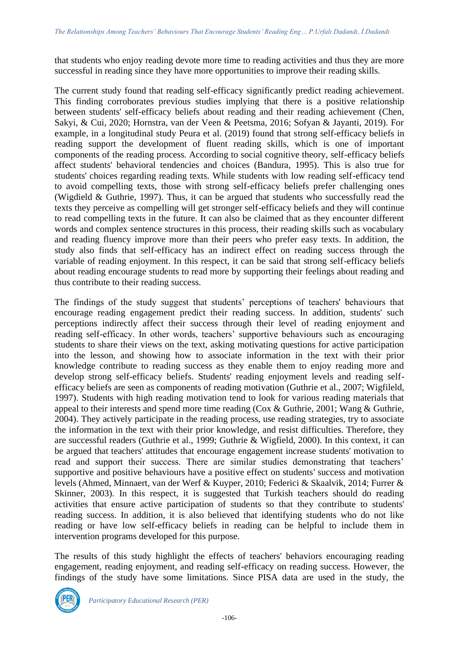that students who enjoy reading devote more time to reading activities and thus they are more successful in reading since they have more opportunities to improve their reading skills.

The current study found that reading self-efficacy significantly predict reading achievement. This finding corroborates previous studies implying that there is a positive relationship between students' self-efficacy beliefs about reading and their reading achievement (Chen, Sakyi, & Cui, 2020; Hornstra, van der Veen & Peetsma, 2016; Sofyan & Jayanti, 2019). For example, in a longitudinal study Peura et al. (2019) found that strong self-efficacy beliefs in reading support the development of fluent reading skills, which is one of important components of the reading process. According to social cognitive theory, self-efficacy beliefs affect students' behavioral tendencies and choices (Bandura, 1995). This is also true for students' choices regarding reading texts. While students with low reading self-efficacy tend to avoid compelling texts, those with strong self-efficacy beliefs prefer challenging ones (Wigdield & Guthrie, 1997). Thus, it can be argued that students who successfully read the texts they perceive as compelling will get stronger self-efficacy beliefs and they will continue to read compelling texts in the future. It can also be claimed that as they encounter different words and complex sentence structures in this process, their reading skills such as vocabulary and reading fluency improve more than their peers who prefer easy texts. In addition, the study also finds that self-efficacy has an indirect effect on reading success through the variable of reading enjoyment. In this respect, it can be said that strong self-efficacy beliefs about reading encourage students to read more by supporting their feelings about reading and thus contribute to their reading success.

The findings of the study suggest that students' perceptions of teachers' behaviours that encourage reading engagement predict their reading success. In addition, students' such perceptions indirectly affect their success through their level of reading enjoyment and reading self-efficacy. In other words, teachers' supportive behaviours such as encouraging students to share their views on the text, asking motivating questions for active participation into the lesson, and showing how to associate information in the text with their prior knowledge contribute to reading success as they enable them to enjoy reading more and develop strong self-efficacy beliefs. Students' reading enjoyment levels and reading selfefficacy beliefs are seen as components of reading motivation (Guthrie et al., 2007; Wigfileld, 1997). Students with high reading motivation tend to look for various reading materials that appeal to their interests and spend more time reading (Cox & Guthrie, 2001; Wang & Guthrie, 2004). They actively participate in the reading process, use reading strategies, try to associate the information in the text with their prior knowledge, and resist difficulties. Therefore, they are successful readers (Guthrie et al., 1999; Guthrie & Wigfield, 2000). In this context, it can be argued that teachers' attitudes that encourage engagement increase students' motivation to read and support their success. There are similar studies demonstrating that teachers' supportive and positive behaviours have a positive effect on students' success and motivation levels (Ahmed, Minnaert, van der Werf & Kuyper, 2010; Federici & Skaalvik, 2014; Furrer & Skinner, 2003). In this respect, it is suggested that Turkish teachers should do reading activities that ensure active participation of students so that they contribute to students' reading success. In addition, it is also believed that identifying students who do not like reading or have low self-efficacy beliefs in reading can be helpful to include them in intervention programs developed for this purpose.

The results of this study highlight the effects of teachers' behaviors encouraging reading engagement, reading enjoyment, and reading self-efficacy on reading success. However, the findings of the study have some limitations. Since PISA data are used in the study, the

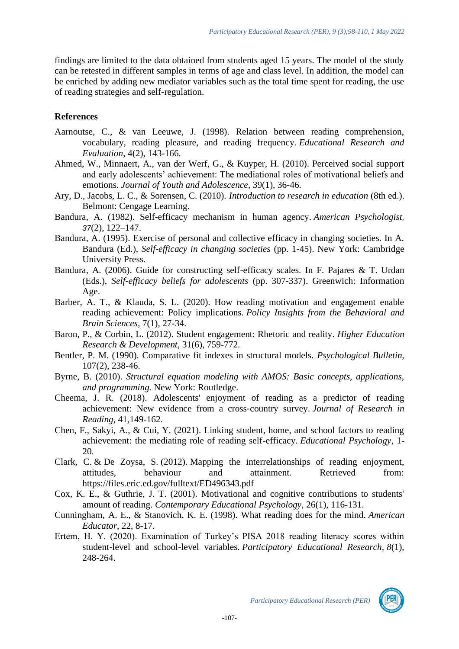findings are limited to the data obtained from students aged 15 years. The model of the study can be retested in different samples in terms of age and class level. In addition, the model can be enriched by adding new mediator variables such as the total time spent for reading, the use of reading strategies and self-regulation.

## **References**

- Aarnoutse, C., & van Leeuwe, J. (1998). Relation between reading comprehension, vocabulary, reading pleasure, and reading frequency. *Educational Research and Evaluation*, 4(2), 143-166.
- Ahmed, W., Minnaert, A., van der Werf, G., & Kuyper, H. (2010). Perceived social support and early adolescents' achievement: The mediational roles of motivational beliefs and emotions. *Journal of Youth and Adolescence*, 39(1), 36-46.
- Ary, D., Jacobs, L. C., & Sorensen, C. (2010). *Introduction to research in education* (8th ed.). Belmont: Cengage Learning.
- Bandura, A. (1982). Self-efficacy mechanism in human agency. *American Psychologist, 37*(2), 122–147.
- Bandura, A. (1995). Exercise of personal and collective efficacy in changing societies. In A. Bandura (Ed.), *Self-efficacy in changing societies* (pp. 1-45). New York: Cambridge University Press.
- Bandura, A. (2006). Guide for constructing self-efficacy scales. In F. Pajares & T. Urdan (Eds.), *Self-efficacy beliefs for adolescents* (pp. 307-337). Greenwich: Information Age.
- Barber, A. T., & Klauda, S. L. (2020). How reading motivation and engagement enable reading achievement: Policy implications. *Policy Insights from the Behavioral and Brain Sciences*, 7(1), 27-34.
- Baron, P., & Corbin, L. (2012). Student engagement: Rhetoric and reality. *Higher Education Research & Development*, 31(6), 759-772.
- Bentler, P. M. (1990). Comparative fit indexes in structural models. *Psychological Bulletin,*  107(2), 238-46.
- Byrne, B. (2010). *Structural equation modeling with AMOS: Basic concepts, applications, and programming.* New York: Routledge.
- Cheema, J. R. (2018). Adolescents' enjoyment of reading as a predictor of reading achievement: New evidence from a cross‐country survey. *Journal of Research in Reading*, 41,149-162.
- Chen, F., Sakyi, A., & Cui, Y. (2021). Linking student, home, and school factors to reading achievement: the mediating role of reading self-efficacy. *Educational Psychology*, 1- 20.
- Clark, C. & De Zoysa, S. (2012). Mapping the interrelationships of reading enjoyment, attitudes, behaviour and attainment. Retrieved from: <https://files.eric.ed.gov/fulltext/ED496343.pdf>
- Cox, K. E., & Guthrie, J. T. (2001). Motivational and cognitive contributions to students' amount of reading. *Contemporary Educational Psychology*, 26(1), 116-131.
- Cunningham, A. E., & Stanovich, K. E. (1998). What reading does for the mind. *American Educator*, 22, 8-17.
- Ertem, H. Y. (2020). Examination of Turkey's PISA 2018 reading literacy scores within student-level and school-level variables. *Participatory Educational Research, 8*(1), 248-264.

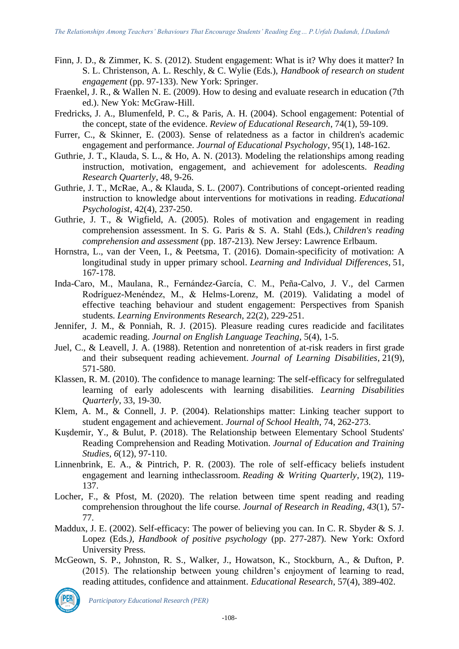- Finn, J. D., & Zimmer, K. S. (2012). Student engagement: What is it? Why does it matter? In S. L. Christenson, A. L. Reschly, & C. Wylie (Eds.), *Handbook of research on student engagement* (pp. 97-133). New York: Springer.
- Fraenkel, J. R., & Wallen N. E. (2009). How to desing and evaluate research in education (7th ed.). New Yok: McGraw-Hill.
- Fredricks, J. A., Blumenfeld, P. C., & Paris, A. H. (2004). School engagement: Potential of the concept, state of the evidence. *Review of Educational Research*, 74(1), 59-109.
- Furrer, C., & Skinner, E. (2003). Sense of relatedness as a factor in children's academic engagement and performance. *Journal of Educational Psychology*, 95(1), 148-162.
- Guthrie, J. T., Klauda, S. L., & Ho, A. N. (2013). Modeling the relationships among reading instruction, motivation, engagement, and achievement for adolescents. *Reading Research Quarterly*, 48, 9-26.
- Guthrie, J. T., McRae, A., & Klauda, S. L. (2007). Contributions of concept-oriented reading instruction to knowledge about interventions for motivations in reading. *Educational Psychologist*, 42(4), 237-250.
- Guthrie, J. T., & Wigfield, A. (2005). Roles of motivation and engagement in reading comprehension assessment. In S. G. Paris & S. A. Stahl (Eds.), *Children's reading comprehension and assessment* (pp. 187-213). New Jersey: Lawrence Erlbaum.
- Hornstra, L., van der Veen, I., & Peetsma, T. (2016). Domain-specificity of motivation: A longitudinal study in upper primary school. *Learning and Individual Differences*, 51, 167-178.
- Inda-Caro, M., Maulana, R., Fernández-García, C. M., Peña-Calvo, J. V., del Carmen Rodríguez-Menéndez, M., & Helms-Lorenz, M. (2019). Validating a model of effective teaching behaviour and student engagement: Perspectives from Spanish students. *Learning Environments Research*, 22(2), 229-251.
- Jennifer, J. M., & Ponniah, R. J. (2015). Pleasure reading cures readicide and facilitates academic reading. *Journal on English Language Teaching*, 5(4), 1-5.
- Juel, C., & Leavell, J. A. (1988). Retention and nonretention of at-risk readers in first grade and their subsequent reading achievement. *Journal of Learning Disabilities*, 21(9), 571-580.
- Klassen, R. M. (2010). The confidence to manage learning: The self-efficacy for selfregulated learning of early adolescents with learning disabilities. *Learning Disabilities Quarterly*, 33, 19-30.
- Klem, A. M., & Connell, J. P. (2004). Relationships matter: Linking teacher support to student engagement and achievement. *Journal of School Health*, 74, 262-273.
- Kuşdemir, Y., & Bulut, P. (2018). The Relationship between Elementary School Students' Reading Comprehension and Reading Motivation. *Journal of Education and Training Studies, 6*(12), 97-110.
- Linnenbrink, E. A., & Pintrich, P. R. (2003). The role of self-efficacy beliefs instudent engagement and learning intheclassroom. *Reading & Writing Quarterly*, 19(2), 119- 137.
- Locher, F., & Pfost, M. (2020). The relation between time spent reading and reading comprehension throughout the life course. *Journal of Research in Reading, 43*(1), 57- 77.
- Maddux, J. E. (2002). Self-efficacy: The power of believing you can. In C. R. Sbyder & S. J. Lopez (Eds*.), Handbook of positive psychology* (pp. 277-287). New York: Oxford University Press.
- McGeown, S. P., Johnston, R. S., Walker, J., Howatson, K., Stockburn, A., & Dufton, P. (2015). The relationship between young children's enjoyment of learning to read, reading attitudes, confidence and attainment. *Educational Research*, 57(4), 389-402.

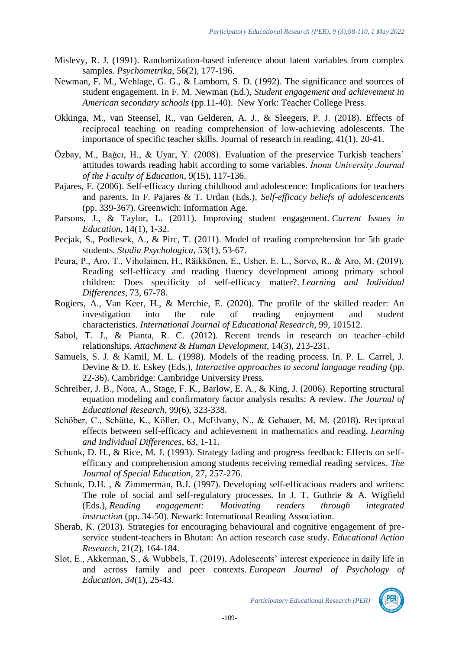- Mislevy, R. J. (1991). Randomization-based inference about latent variables from complex samples. *Psychometrika*, 56(2), 177-196.
- Newman, F. M., Wehlage, G. G., & Lamborn, S. D. (1992). The significance and sources of student engagement. In F. M. Newman (Ed.), *Student engagement and achievement in American secondary schools* (pp.11-40). New York: Teacher College Press.
- Okkinga, M., van Steensel, R., van Gelderen, A. J., & Sleegers, P. J. (2018). Effects of reciprocal teaching on reading comprehension of low‐achieving adolescents. The importance of specific teacher skills. Journal of research in reading, 41(1), 20-41.
- Özbay, M., Bağcı, H., & Uyar, Y. (2008). Evaluation of the preservice Turkish teachers' attitudes towards reading habit according to some variables. *İnonu University Journal of the Faculty of Education*, 9(15), 117-136.
- Pajares, F. (2006). Self-efficacy during childhood and adolescence: Implications for teachers and parents. In F. Pajares & T. Urdan (Eds.), *Self-efficacy beliefs of adolescencents* (pp. 339-367). Greenwich: Information Age.
- Parsons, J., & Taylor, L. (2011). Improving student engagement. *Current Issues in Education*, 14(1), 1-32.
- Pecjak, S., Podlesek, A., & Pirc, T. (2011). Model of reading comprehension for 5th grade students. *Studia Psychologica*, 53(1), 53-67.
- Peura, P., Aro, T., Viholainen, H., Räikkönen, E., Usher, E. L., Sorvo, R., & Aro, M. (2019). Reading self-efficacy and reading fluency development among primary school children: Does specificity of self-efficacy matter?. *Learning and Individual Differences*, 73, 67-78.
- Rogiers, A., Van Keer, H., & Merchie, E. (2020). The profile of the skilled reader: An investigation into the role of reading enjoyment and student characteristics. *International Journal of Educational Research*, 99, 101512.
- Sabol, T. J., & Pianta, R. C. (2012). Recent trends in research on teacher–child relationships. *Attachment & Human Development*, 14(3), 213-231.
- Samuels, S. J. & Kamil, M. L. (1998). Models of the reading process. In. P. L. Carrel, J. Devine & D. E. Eskey (Eds.), *Interactive approaches to second language reading* (pp. 22-36). Cambridge: Cambridge University Press.
- Schreiber, J. B., Nora, A., Stage, F. K., Barlow, E. A., & King, J. (2006). Reporting structural equation modeling and confirmatory factor analysis results: A review. *The Journal of Educational Research*, 99(6), 323-338.
- Schöber, C., Schütte, K., Köller, O., McElvany, N., & Gebauer, M. M. (2018). Reciprocal effects between self-efficacy and achievement in mathematics and reading. *Learning and Individual Differences*, 63, 1-11.
- Schunk, D. H., & Rice, M. J. (1993). Strategy fading and progress feedback: Effects on selfefficacy and comprehension among students receiving remedial reading services. *The Journal of Special Education,* 27, 257-276.
- Schunk, D.H. , & Zimmerman, B.J. (1997). Developing self-efficacious readers and writers: The role of social and self-regulatory processes. In J. T. Guthrie & A. Wigfield (Eds.), *Reading engagement: Motivating readers through integrated instruction* (pp. 34-50). Newark: International Reading Association.
- Sherab, K. (2013). Strategies for encouraging behavioural and cognitive engagement of preservice student-teachers in Bhutan: An action research case study. *Educational Action Research*, 21(2), 164-184.
- Slot, E., Akkerman, S., & Wubbels, T. (2019). Adolescents' interest experience in daily life in and across family and peer contexts. *European Journal of Psychology of Education, 34*(1), 25-43.